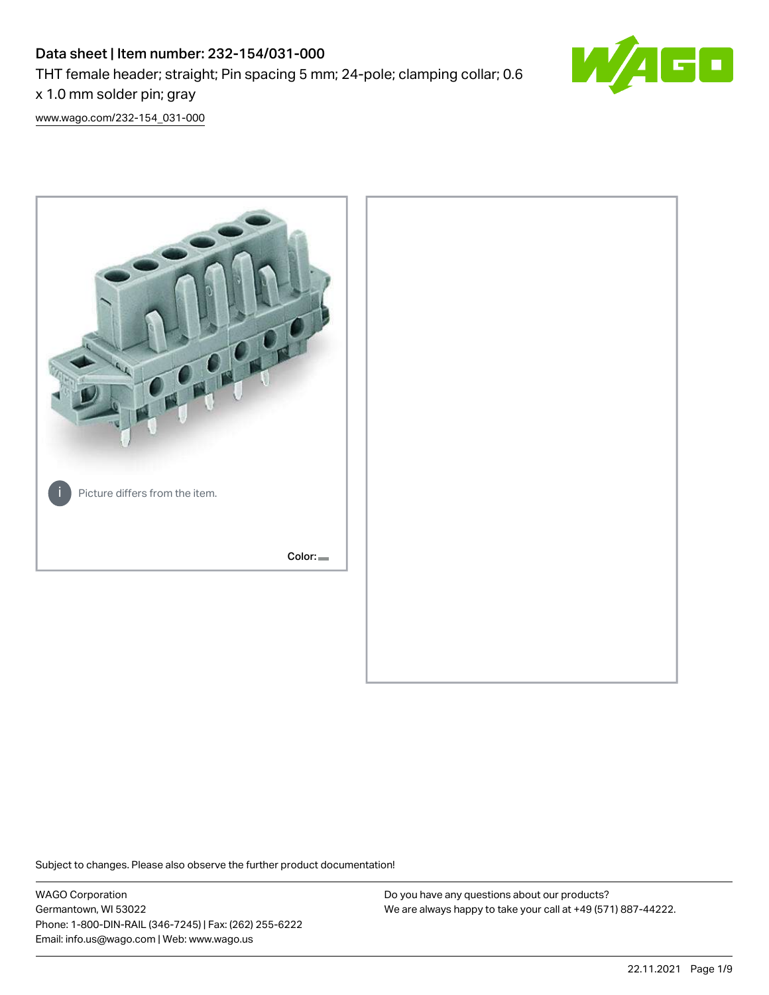# Data sheet | Item number: 232-154/031-000 THT female header; straight; Pin spacing 5 mm; 24-pole; clamping collar; 0.6 x 1.0 mm solder pin; gray



[www.wago.com/232-154\\_031-000](http://www.wago.com/232-154_031-000)



Subject to changes. Please also observe the further product documentation!

WAGO Corporation Germantown, WI 53022 Phone: 1-800-DIN-RAIL (346-7245) | Fax: (262) 255-6222 Email: info.us@wago.com | Web: www.wago.us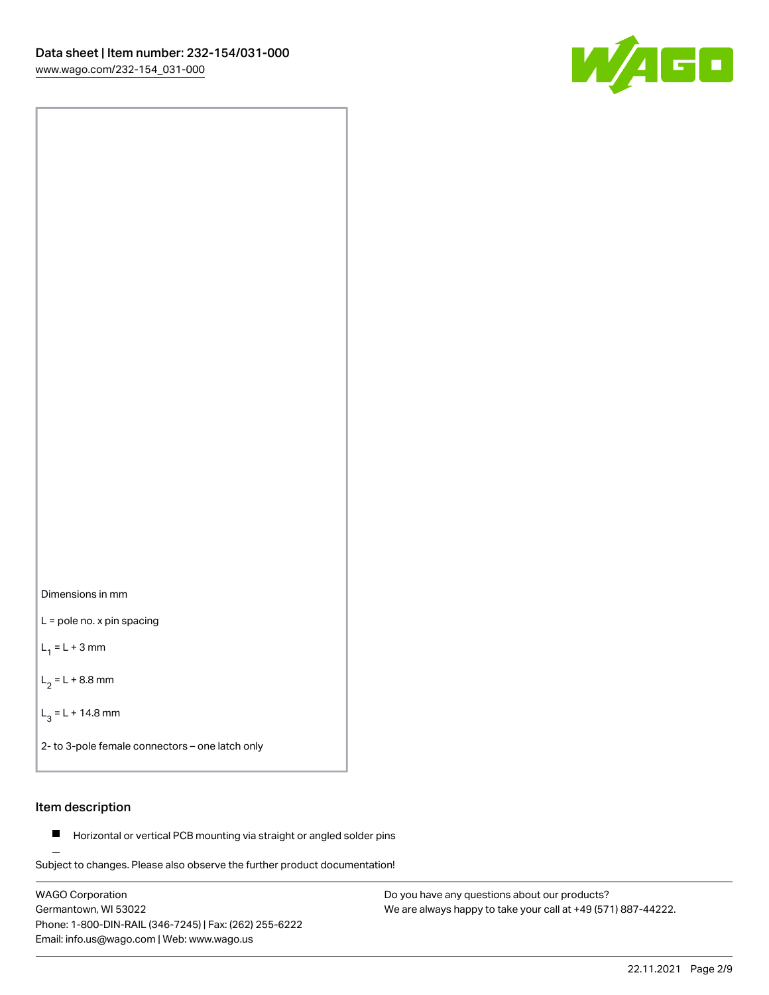



L = pole no. x pin spacing

 $L_1 = L + 3$  mm

 $L_2 = L + 8.8$  mm

 $L_3 = L + 14.8$  mm

2- to 3-pole female connectors – one latch only

# Item description

**Horizontal or vertical PCB mounting via straight or angled solder pins** 

Subject to changes. Please also observe the further product documentation! For board-to-board and board-to-wire connections

WAGO Corporation Germantown, WI 53022 Phone: 1-800-DIN-RAIL (346-7245) | Fax: (262) 255-6222 Email: info.us@wago.com | Web: www.wago.us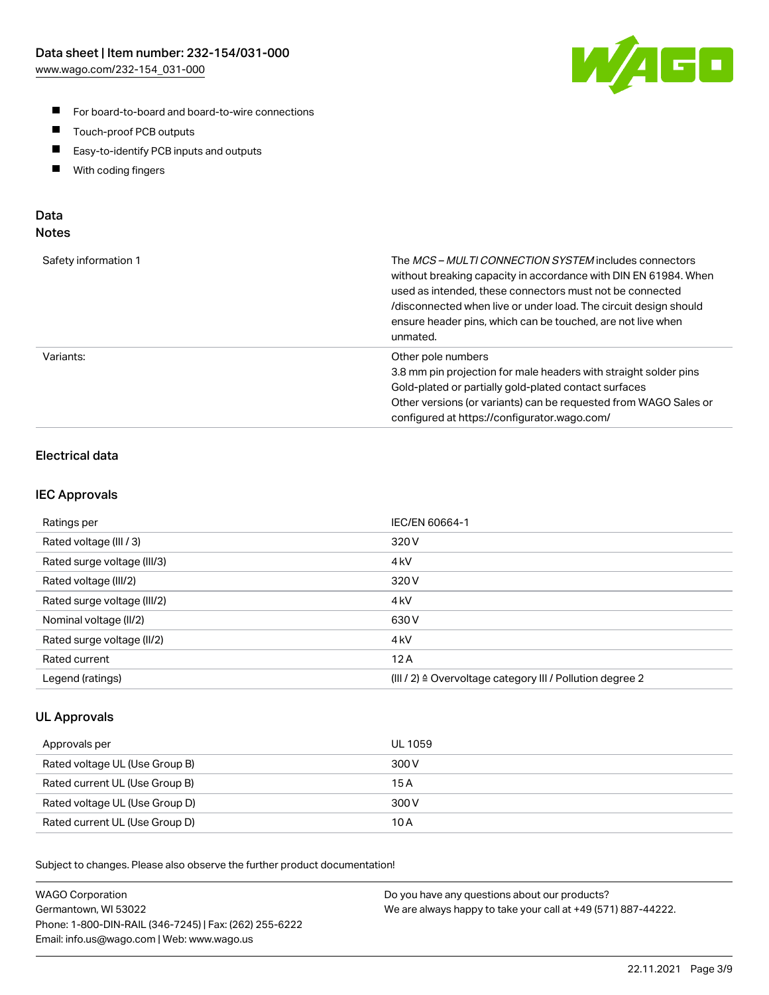

- For board-to-board and board-to-wire connections
- $\blacksquare$ Touch-proof PCB outputs
- $\blacksquare$ Easy-to-identify PCB inputs and outputs
- $\blacksquare$ With coding fingers

# Data **Notes**

| Safety information 1 | The <i>MCS – MULTI CONNECTION SYSTEM</i> includes connectors<br>without breaking capacity in accordance with DIN EN 61984. When<br>used as intended, these connectors must not be connected<br>/disconnected when live or under load. The circuit design should<br>ensure header pins, which can be touched, are not live when<br>unmated. |
|----------------------|--------------------------------------------------------------------------------------------------------------------------------------------------------------------------------------------------------------------------------------------------------------------------------------------------------------------------------------------|
| Variants:            | Other pole numbers<br>3.8 mm pin projection for male headers with straight solder pins<br>Gold-plated or partially gold-plated contact surfaces<br>Other versions (or variants) can be requested from WAGO Sales or<br>configured at https://configurator.wago.com/                                                                        |

# Electrical data

## IEC Approvals

| Ratings per                 | IEC/EN 60664-1                                                        |
|-----------------------------|-----------------------------------------------------------------------|
| Rated voltage (III / 3)     | 320 V                                                                 |
| Rated surge voltage (III/3) | 4 <sub>k</sub> V                                                      |
| Rated voltage (III/2)       | 320 V                                                                 |
| Rated surge voltage (III/2) | 4 <sub>k</sub> V                                                      |
| Nominal voltage (II/2)      | 630 V                                                                 |
| Rated surge voltage (II/2)  | 4 <sub>kV</sub>                                                       |
| Rated current               | 12A                                                                   |
| Legend (ratings)            | $(III / 2)$ $\triangle$ Overvoltage category III / Pollution degree 2 |

## UL Approvals

| Approvals per                  | UL 1059 |
|--------------------------------|---------|
| Rated voltage UL (Use Group B) | 300 V   |
| Rated current UL (Use Group B) | 15 A    |
| Rated voltage UL (Use Group D) | 300 V   |
| Rated current UL (Use Group D) | 10 A    |

| <b>WAGO Corporation</b>                                | Do you have any questions about our products?                 |
|--------------------------------------------------------|---------------------------------------------------------------|
| Germantown, WI 53022                                   | We are always happy to take your call at +49 (571) 887-44222. |
| Phone: 1-800-DIN-RAIL (346-7245)   Fax: (262) 255-6222 |                                                               |
| Email: info.us@wago.com   Web: www.wago.us             |                                                               |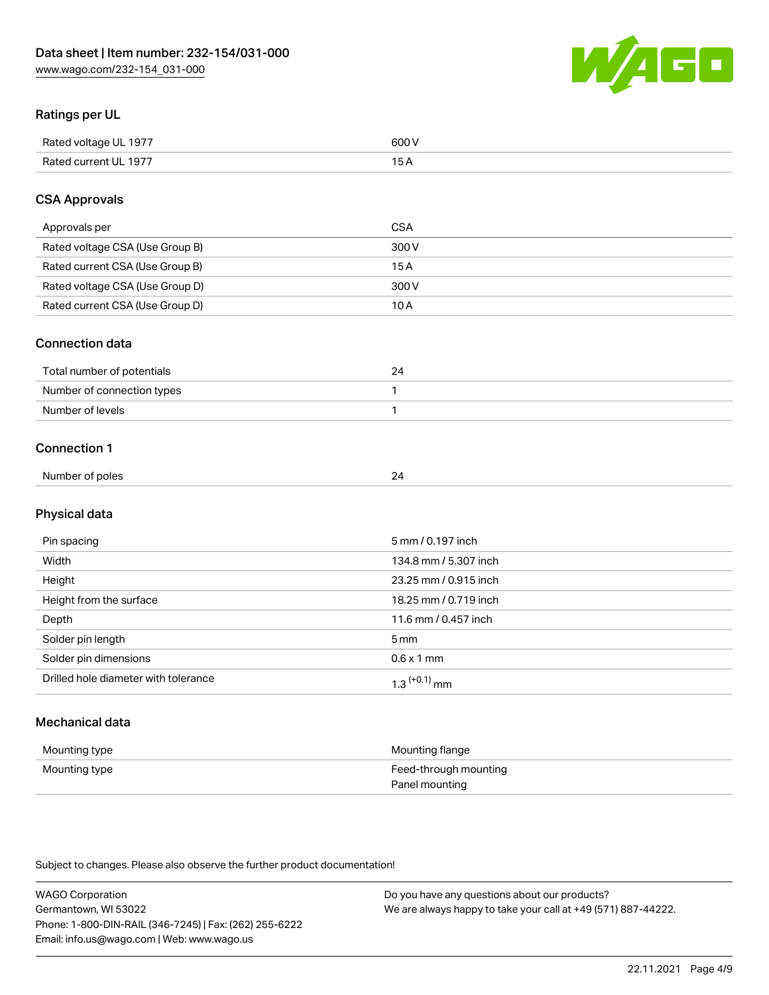

# Ratings per UL

| Rated voltage UL 1977                | COO V<br>ור |
|--------------------------------------|-------------|
| <b>Rated</b><br>UL 1977<br>curront l | _____       |

# CSA Approvals

| Approvals per                   | CSA   |
|---------------------------------|-------|
| Rated voltage CSA (Use Group B) | 300 V |
| Rated current CSA (Use Group B) | 15 A  |
| Rated voltage CSA (Use Group D) | 300 V |
| Rated current CSA (Use Group D) | 10 A  |

#### Connection data

| Total number of potentials |  |
|----------------------------|--|
| Number of connection types |  |
| Number of levels           |  |

#### Connection 1

| Number of poles | - |
|-----------------|---|
|                 |   |

# Physical data

| Pin spacing                          | 5 mm / 0.197 inch          |
|--------------------------------------|----------------------------|
| Width                                | 134.8 mm / 5.307 inch      |
| Height                               | 23.25 mm / 0.915 inch      |
| Height from the surface              | 18.25 mm / 0.719 inch      |
| Depth                                | 11.6 mm / 0.457 inch       |
| Solder pin length                    | 5 mm                       |
| Solder pin dimensions                | $0.6 \times 1$ mm          |
| Drilled hole diameter with tolerance | $1.3$ <sup>(+0.1)</sup> mm |

# Mechanical data

| Mounting type | Mounting flange                         |
|---------------|-----------------------------------------|
| Mounting type | Feed-through mounting<br>Panel mounting |

| <b>WAGO Corporation</b>                                | Do you have any questions about our products?                 |
|--------------------------------------------------------|---------------------------------------------------------------|
| Germantown, WI 53022                                   | We are always happy to take your call at +49 (571) 887-44222. |
| Phone: 1-800-DIN-RAIL (346-7245)   Fax: (262) 255-6222 |                                                               |
| Email: info.us@wago.com   Web: www.wago.us             |                                                               |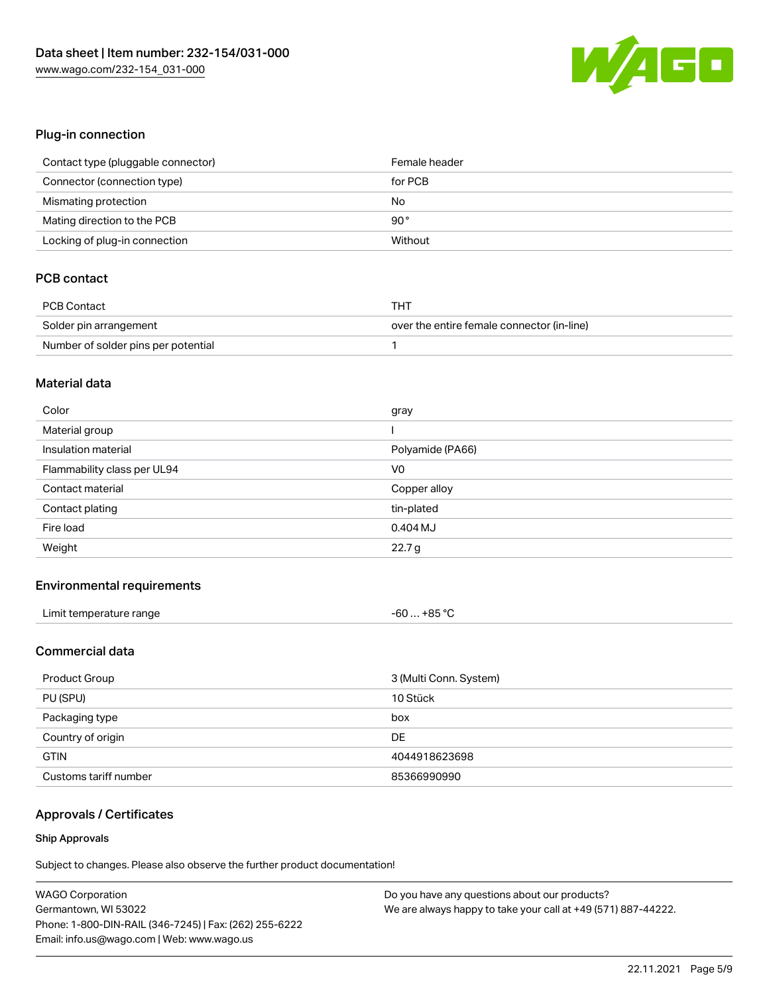

# Plug-in connection

| Contact type (pluggable connector) | Female header |
|------------------------------------|---------------|
| Connector (connection type)        | for PCB       |
| Mismating protection               | No            |
| Mating direction to the PCB        | $90^{\circ}$  |
| Locking of plug-in connection      | Without       |

# PCB contact

| PCB Contact                         | тнт                                        |
|-------------------------------------|--------------------------------------------|
| Solder pin arrangement              | over the entire female connector (in-line) |
| Number of solder pins per potential |                                            |

#### Material data

| Color                       | gray             |
|-----------------------------|------------------|
| Material group              |                  |
| Insulation material         | Polyamide (PA66) |
| Flammability class per UL94 | V <sub>0</sub>   |
|                             |                  |
| Contact material            | Copper alloy     |
| Contact plating             | tin-plated       |
| Fire load                   | 0.404 MJ         |

#### Environmental requirements

| Limit temperature range | $-60+85 °C$ |
|-------------------------|-------------|
|-------------------------|-------------|

# Commercial data

| Product Group         | 3 (Multi Conn. System) |
|-----------------------|------------------------|
| PU (SPU)              | 10 Stück               |
| Packaging type        | box                    |
| Country of origin     | DE                     |
| <b>GTIN</b>           | 4044918623698          |
| Customs tariff number | 85366990990            |

# Approvals / Certificates

#### Ship Approvals

| <b>WAGO Corporation</b>                                | Do you have any questions about our products?                 |
|--------------------------------------------------------|---------------------------------------------------------------|
| Germantown, WI 53022                                   | We are always happy to take your call at +49 (571) 887-44222. |
| Phone: 1-800-DIN-RAIL (346-7245)   Fax: (262) 255-6222 |                                                               |
| Email: info.us@wago.com   Web: www.wago.us             |                                                               |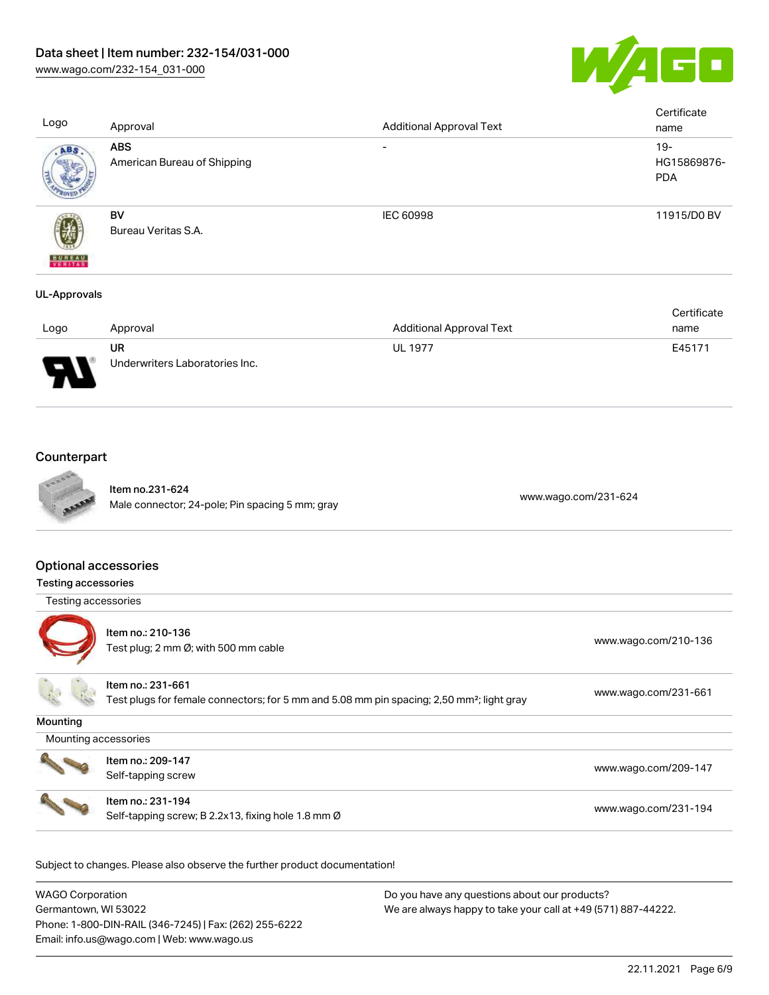

| Logo                      | Approval                                  | <b>Additional Approval Text</b> | Certificate<br>name                |
|---------------------------|-------------------------------------------|---------------------------------|------------------------------------|
| ABS                       | <b>ABS</b><br>American Bureau of Shipping | $\overline{\phantom{0}}$        | $19-$<br>HG15869876-<br><b>PDA</b> |
| <b>BUREAU</b><br>VERITASS | BV<br>Bureau Veritas S.A.                 | IEC 60998                       | 11915/D0 BV                        |
| UL-Approvals              |                                           |                                 |                                    |

|                               |                                |                                 | Certificate |
|-------------------------------|--------------------------------|---------------------------------|-------------|
| Logo                          | Approval                       | <b>Additional Approval Text</b> | name        |
|                               | UR                             | <b>UL 1977</b>                  | E45171      |
| J<br>$\overline{\phantom{a}}$ | Underwriters Laboratories Inc. |                                 |             |

# **Counterpart**



Item no.231-624 nem 10.23 1-024<br>Male connector; 24-pole; Pin spacing 5 mm; gray [www.wago.com/231-624](https://www.wago.com/231-624)

## Optional accessories

| <b>Testing accessories</b> |                                                                                                                            |                      |
|----------------------------|----------------------------------------------------------------------------------------------------------------------------|----------------------|
| Testing accessories        |                                                                                                                            |                      |
|                            | Item no.: 210-136<br>Test plug; 2 mm $\varnothing$ ; with 500 mm cable                                                     | www.wago.com/210-136 |
|                            | Item no.: 231-661<br>Test plugs for female connectors; for 5 mm and 5.08 mm pin spacing; 2,50 mm <sup>2</sup> ; light gray | www.wago.com/231-661 |
| Mounting                   |                                                                                                                            |                      |
| Mounting accessories       |                                                                                                                            |                      |
|                            | Item no.: 209-147<br>Self-tapping screw                                                                                    | www.wago.com/209-147 |
|                            | Item no.: 231-194<br>Self-tapping screw; B 2.2x13, fixing hole 1.8 mm Ø                                                    | www.wago.com/231-194 |

| WAGO Corporation                                       | Do you have any questions about our products?                 |
|--------------------------------------------------------|---------------------------------------------------------------|
| Germantown, WI 53022                                   | We are always happy to take your call at +49 (571) 887-44222. |
| Phone: 1-800-DIN-RAIL (346-7245)   Fax: (262) 255-6222 |                                                               |
| Email: info.us@wago.com   Web: www.wago.us             |                                                               |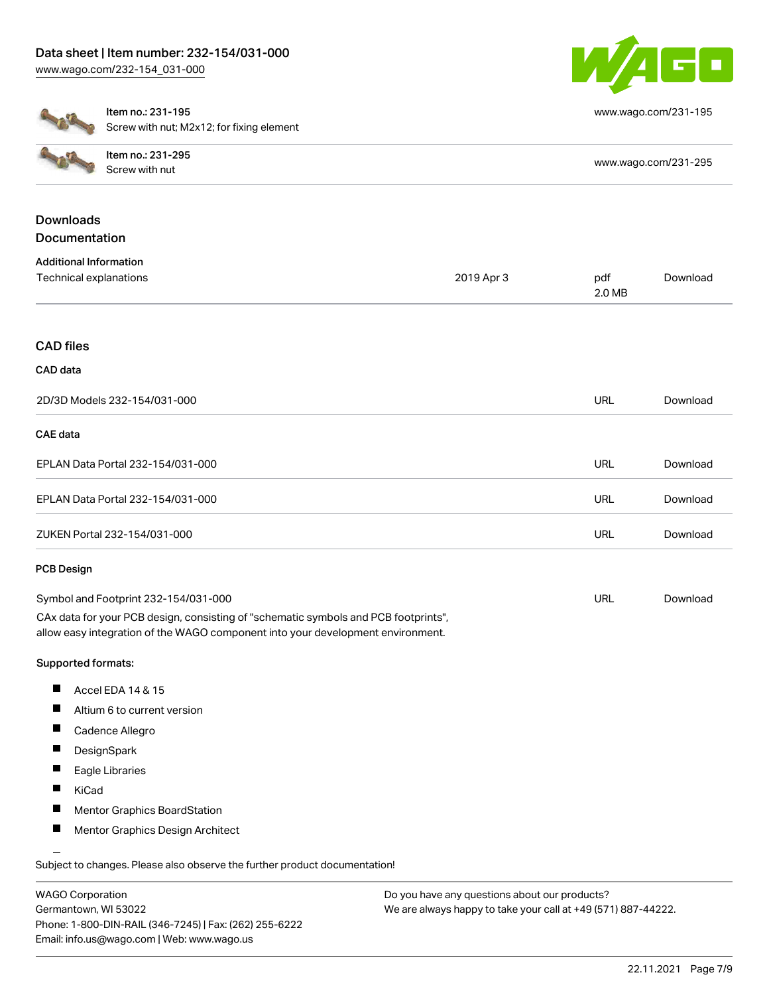

[www.wago.com/231-195](http://www.wago.com/231-195)



Documentation

Item no.: 231-195 Screw with nut; M2x12; for fixing element

|           | Item no.: 231-295<br>Screw with nut | www.wago.com/231-295 |
|-----------|-------------------------------------|----------------------|
| Downloads |                                     |                      |

| <b>Additional Information</b>        |            |               |          |
|--------------------------------------|------------|---------------|----------|
| Technical explanations               | 2019 Apr 3 | pdf<br>2.0 MB | Download |
|                                      |            |               |          |
| <b>CAD files</b>                     |            |               |          |
| CAD data                             |            |               |          |
| 2D/3D Models 232-154/031-000         |            | <b>URL</b>    | Download |
| CAE data                             |            |               |          |
| EPLAN Data Portal 232-154/031-000    |            | <b>URL</b>    | Download |
| EPLAN Data Portal 232-154/031-000    |            | <b>URL</b>    | Download |
| ZUKEN Portal 232-154/031-000         |            | <b>URL</b>    | Download |
| <b>PCB Design</b>                    |            |               |          |
| Symbol and Footprint 232-154/031-000 |            | <b>URL</b>    | Download |

CAx data for your PCB design, consisting of "schematic symbols and PCB footprints", allow easy integration of the WAGO component into your development environment.

# Supported formats:

- $\blacksquare$ Accel EDA 14 & 15
- $\blacksquare$ Altium 6 to current version
- $\blacksquare$ Cadence Allegro
- $\blacksquare$ **DesignSpark**
- $\blacksquare$ Eagle Libraries
- $\blacksquare$ KiCad
- $\blacksquare$ Mentor Graphics BoardStation
- П Mentor Graphics Design Architect

Subject to changes. Please also observe the further product documentation!

WAGO Corporation Germantown, WI 53022 Phone: 1-800-DIN-RAIL (346-7245) | Fax: (262) 255-6222 Email: info.us@wago.com | Web: www.wago.us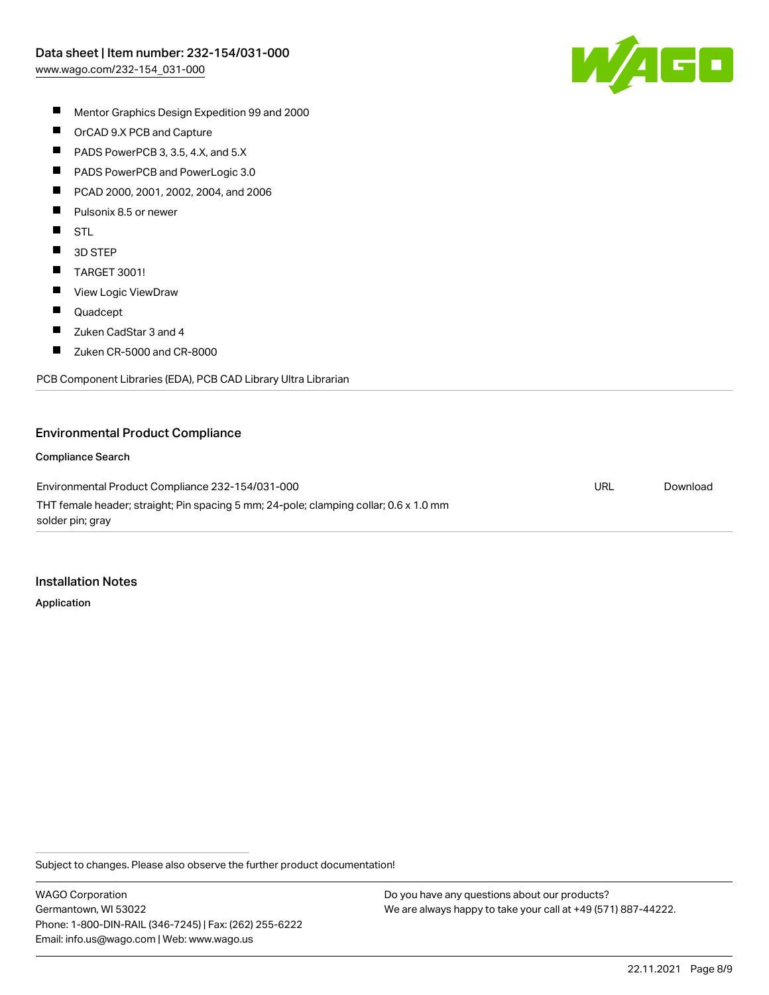

- $\blacksquare$ Mentor Graphics Design Expedition 99 and 2000
- $\blacksquare$ OrCAD 9.X PCB and Capture
- $\blacksquare$ PADS PowerPCB 3, 3.5, 4.X, and 5.X
- $\blacksquare$ PADS PowerPCB and PowerLogic 3.0
- $\blacksquare$ PCAD 2000, 2001, 2002, 2004, and 2006
- $\blacksquare$ Pulsonix 8.5 or newer
- $\blacksquare$ STL
- $\blacksquare$ 3D STEP
- $\blacksquare$ TARGET 3001!
- $\blacksquare$ View Logic ViewDraw
- $\blacksquare$ Quadcept
- $\blacksquare$ Zuken CadStar 3 and 4
- $\blacksquare$ Zuken CR-5000 and CR-8000

PCB Component Libraries (EDA), PCB CAD Library Ultra Librarian

#### Environmental Product Compliance

#### Compliance Search

Environmental Product Compliance 232-154/031-000 THT female header; straight; Pin spacing 5 mm; 24-pole; clamping collar; 0.6 x 1.0 mm solder pin; gray URL [Download](https://www.wago.com/global/d/ComplianceLinkMediaContainer_232-154_031-000)

#### Installation Notes

Application

Subject to changes. Please also observe the further product documentation!

WAGO Corporation Germantown, WI 53022 Phone: 1-800-DIN-RAIL (346-7245) | Fax: (262) 255-6222 Email: info.us@wago.com | Web: www.wago.us